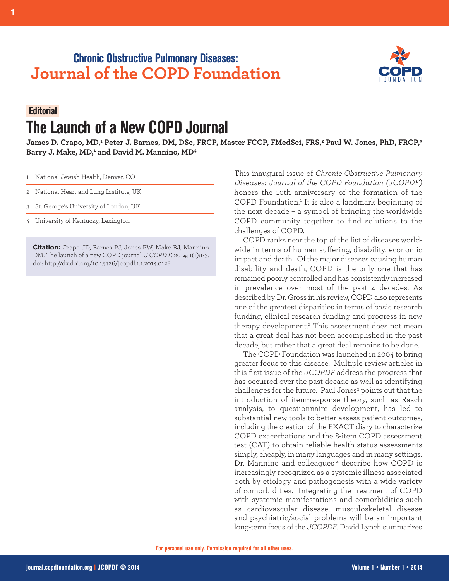## **Chronic Obstructive Pulmonary Diseases: Journal of the COPD Foundation**



## **Editorial. The Launch of a New COPD Journal**

James D. Crapo, MD,<del>'</del> Peter J. Barnes, DM, DSc, FRCP, Master FCCP, FMedSci, FRS,<del>°</del> Paul W. Jones, PhD, FRCP,<sup>3</sup> **Barry J. Make, MD, <sup>1</sup> and David M. Mannino, MD4**

|  | 1 National Jewish Health, Denver, CO |  |  |  |  |
|--|--------------------------------------|--|--|--|--|
|--|--------------------------------------|--|--|--|--|

- 2 National Heart and Lung Institute, UK
- 3 St. George's University of London, UK
- 4 University of Kentucky, Lexington

**Citation:** Crapo JD, Barnes PJ, Jones PW, Make BJ, Mannino DM. The launch of a new COPD journal. *J COPD F.* 2014; 1(1):1-3. doi: http://dx.doi.org/10.15326/jcopdf.1.1.2014.0128.

This inaugural issue of *Chronic Obstructive Pulmonary Diseases: Journal of the COPD Foundation (JCOPDF)* honors the 10th anniversary of the formation of the COPD Foundation. <sup>1</sup> It is also a landmark beginning of the next decade – a symbol of bringing the worldwide COPD community together to find solutions to the challenges of COPD.

COPD ranks near the top of the list of diseases worldwide in terms of human suffering, disability, economic impact and death. Of the major diseases causing human disability and death, COPD is the only one that has remained poorly controlled and has consistently increased in prevalence over most of the past 4 decades. As described by Dr. Gross in his review, COPD also represents one of the greatest disparities in terms of basic research funding, clinical research funding and progress in new therapy development. <sup>2</sup> This assessment does not mean that a great deal has not been accomplished in the past decade, but rather that a great deal remains to be done.

The COPD Foundation was launched in 2004 to bring greater focus to this disease. Multiple review articles in this first issue of the *JCOPDF* address the progress that has occurred over the past decade as well as identifying challenges for the future. Paul Jones<sup>3</sup> points out that the introduction of item-response theory, such as Rasch analysis, to questionnaire development, has led to substantial new tools to better assess patient outcomes, including the creation of the EXACT diary to characterize COPD exacerbations and the 8-item COPD assessment test (CAT) to obtain reliable health status assessments simply, cheaply, in many languages and in many settings. Dr. Mannino and colleagues <sup>4</sup> describe how COPD is increasingly recognized as a systemic illness associated both by etiology and pathogenesis with a wide variety of comorbidities. Integrating the treatment of COPD with systemic manifestations and comorbidities such as cardiovascular disease, musculoskeletal disease and psychiatric/social problems will be an important long-term focus of the *JCOPDF*. David Lynch summarizes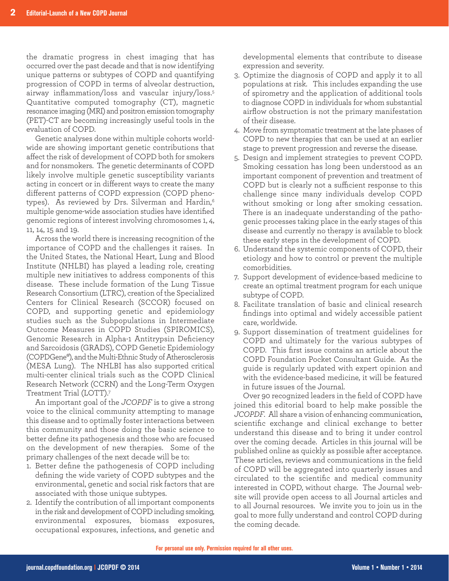the dramatic progress in chest imaging that has occurred over the past decade and that is now identifying unique patterns or subtypes of COPD and quantifying progression of COPD in terms of alveolar destruction, airway inflammation/loss and vascular injury/loss. 5 Quantitative computed tomography (CT), magnetic resonance imaging (MRI) and positron emission tomography (PET)-CT are becoming increasingly useful tools in the evaluation of COPD.

Genetic analyses done within multiple cohorts worldwide are showing important genetic contributions that affect the risk of development of COPD both for smokers and for nonsmokers. The genetic determinants of COPD likely involve multiple genetic susceptibility variants acting in concert or in different ways to create the many different patterns of COPD expression (COPD phenotypes). As reviewed by Drs. Silverman and Hardin, 6 multiple genome-wide association studies have identified genomic regions of interest involving chromosomes 1, 4, 11, 14, 15 and 19.

Across the world there is increasing recognition of the importance of COPD and the challenges it raises. In the United States, the National Heart, Lung and Blood Institute (NHLBI) has played a leading role, creating multiple new initiatives to address components of this disease. These include formation of the Lung Tissue Research Consortium (LTRC), creation of the Specialized Centers for Clinical Research (SCCOR) focused on COPD, and supporting genetic and epidemiology studies such as the Subpopulations in Intermediate Outcome Measures in COPD Studies (SPIROMICS), Genomic Research in Alpha-1 Antitrypsin Deficiency and Sarcoidosis (GRADS), COPD Genetic Epidemiology (COPDGene®), and the Multi-Ethnic Study of Atherosclerosis (MESA Lung). The NHLBI has also supported critical multi-center clinical trials such as the COPD Clinical Research Network (CCRN) and the Long-Term Oxygen Treatment Trial (LOTT). 7

An important goal of the *JCOPDF* is to give a strong voice to the clinical community attempting to manage this disease and to optimally foster interactions between this community and those doing the basic science to better define its pathogenesis and those who are focused on the development of new therapies. Some of the primary challenges of the next decade will be to:

- 1. Better define the pathogenesis of COPD including defining the wide variety of COPD subtypes and the environmental, genetic and social risk factors that are associated with those unique subtypes.
- 2. Identify the contribution of all important components in the risk and development of COPD including smoking, environmental exposures, biomass exposures, occupational exposures, infections, and genetic and

developmental elements that contribute to disease expression and severity.

- 3. Optimize the diagnosis of COPD and apply it to all populations at risk. This includes expanding the use of spirometry and the application of additional tools to diagnose COPD in individuals for whom substantial airflow obstruction is not the primary manifestation of their disease.
- 4. Move from symptomatic treatment at the late phases of COPD to new therapies that can be used at an earlier stage to prevent progression and reverse the disease.
- 5. Design and implement strategies to prevent COPD. Smoking cessation has long been understood as an important component of prevention and treatment of COPD but is clearly not a sufficient response to this challenge since many individuals develop COPD without smoking or long after smoking cessation. There is an inadequate understanding of the pathogenic processes taking place in the early stages of this disease and currently no therapy is available to block these early steps in the development of COPD.
- 6. Understand the systemic components of COPD, their etiology and how to control or prevent the multiple comorbidities.
- 7. Support development of evidence-based medicine to create an optimal treatment program for each unique subtype of COPD.
- 8. Facilitate translation of basic and clinical research findings into optimal and widely accessible patient care, worldwide.
- 9. Support dissemination of treatment guidelines for COPD and ultimately for the various subtypes of COPD. This first issue contains an article about the COPD Foundation Pocket Consultant Guide. As the guide is regularly updated with expert opinion and with the evidence-based medicine, it will be featured in future issues of the Journal.

Over 90 recognized leaders in the field of COPD have joined this editorial board to help make possible the *JCOPDF*. All share a vision of enhancing communication, scientific exchange and clinical exchange to better understand this disease and to bring it under control over the coming decade. Articles in this journal will be published online as quickly as possible after acceptance. These articles, reviews and communications in the field of COPD will be aggregated into quarterly issues and circulated to the scientific and medical community interested in COPD, without charge. The Journal website will provide open access to all Journal articles and to all Journal resources. We invite you to join us in the goal to more fully understand and control COPD during the coming decade.